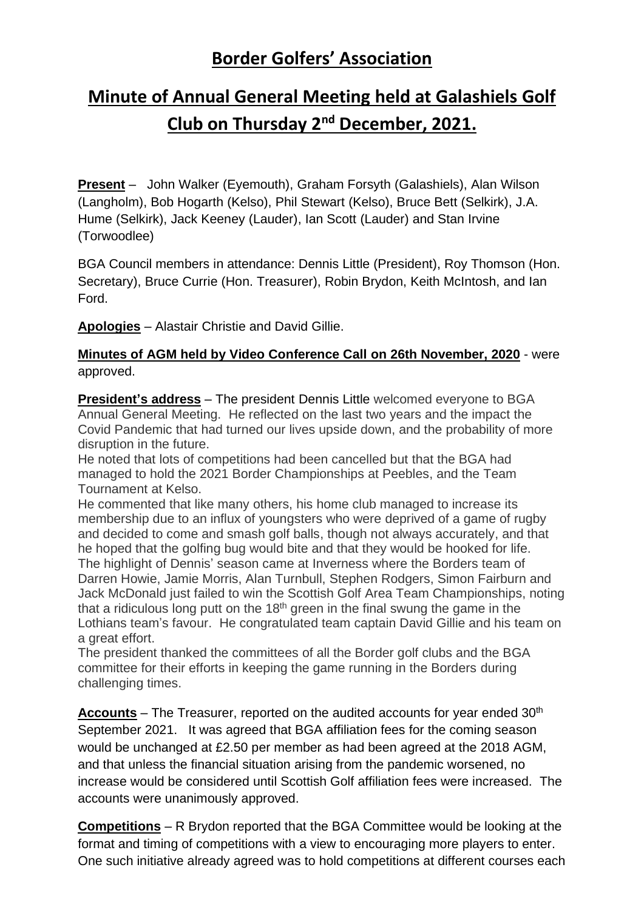## **Border Golfers' Association**

## **Minute of Annual General Meeting held at Galashiels Golf Club on Thursday 2nd December, 2021.**

**Present** – John Walker (Eyemouth), Graham Forsyth (Galashiels), Alan Wilson (Langholm), Bob Hogarth (Kelso), Phil Stewart (Kelso), Bruce Bett (Selkirk), J.A. Hume (Selkirk), Jack Keeney (Lauder), Ian Scott (Lauder) and Stan Irvine (Torwoodlee)

BGA Council members in attendance: Dennis Little (President), Roy Thomson (Hon. Secretary), Bruce Currie (Hon. Treasurer), Robin Brydon, Keith McIntosh, and Ian Ford.

**Apologies** – Alastair Christie and David Gillie.

## **Minutes of AGM held by Video Conference Call on 26th November, 2020** - were approved.

**President's address** – The president Dennis Little welcomed everyone to BGA Annual General Meeting. He reflected on the last two years and the impact the Covid Pandemic that had turned our lives upside down, and the probability of more disruption in the future.

He noted that lots of competitions had been cancelled but that the BGA had managed to hold the 2021 Border Championships at Peebles, and the Team Tournament at Kelso.

He commented that like many others, his home club managed to increase its membership due to an influx of youngsters who were deprived of a game of rugby and decided to come and smash golf balls, though not always accurately, and that he hoped that the golfing bug would bite and that they would be hooked for life. The highlight of Dennis' season came at Inverness where the Borders team of Darren Howie, Jamie Morris, Alan Turnbull, Stephen Rodgers, Simon Fairburn and Jack McDonald just failed to win the Scottish Golf Area Team Championships, noting that a ridiculous long putt on the  $18<sup>th</sup>$  green in the final swung the game in the Lothians team's favour. He congratulated team captain David Gillie and his team on a great effort.

The president thanked the committees of all the Border golf clubs and the BGA committee for their efforts in keeping the game running in the Borders during challenging times.

**Accounts** – The Treasurer, reported on the audited accounts for year ended 30<sup>th</sup> September 2021. It was agreed that BGA affiliation fees for the coming season would be unchanged at £2.50 per member as had been agreed at the 2018 AGM, and that unless the financial situation arising from the pandemic worsened, no increase would be considered until Scottish Golf affiliation fees were increased. The accounts were unanimously approved.

**Competitions** – R Brydon reported that the BGA Committee would be looking at the format and timing of competitions with a view to encouraging more players to enter. One such initiative already agreed was to hold competitions at different courses each